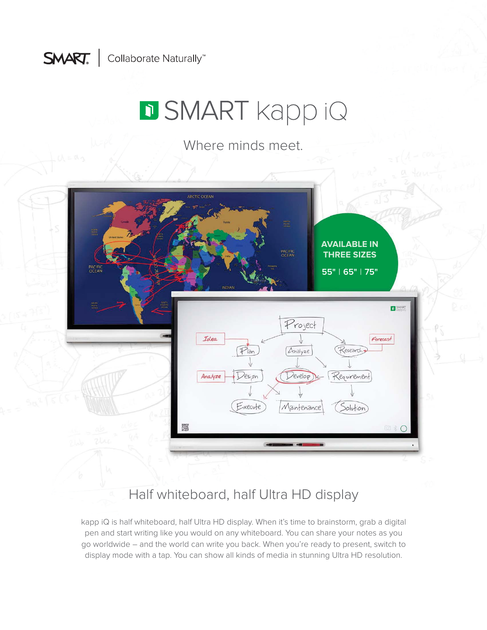

# **D SMART** kapp iQ

Where minds meet.



Half whiteboard, half Ultra HD display

kapp iQ is half whiteboard, half Ultra HD display. When it's time to brainstorm, grab a digital pen and start writing like you would on any whiteboard. You can share your notes as you go worldwide – and the world can write you back. When you're ready to present, switch to display mode with a tap. You can show all kinds of media in stunning Ultra HD resolution.